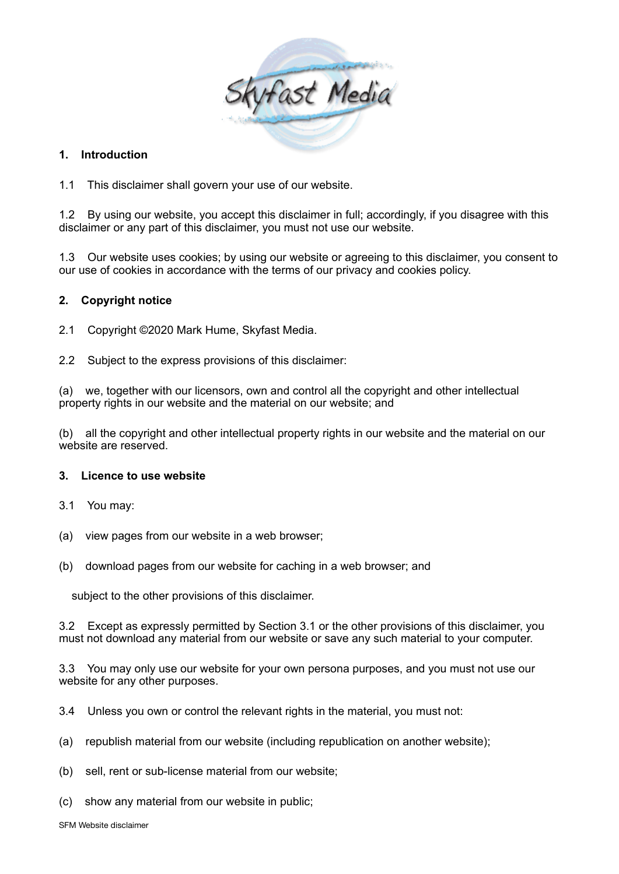

## **1. Introduction**

1.1 This disclaimer shall govern your use of our website.

1.2 By using our website, you accept this disclaimer in full; accordingly, if you disagree with this disclaimer or any part of this disclaimer, you must not use our website.

1.3 Our website uses cookies; by using our website or agreeing to this disclaimer, you consent to our use of cookies in accordance with the terms of our privacy and cookies policy.

### **2. Copyright notice**

2.1 Copyright ©2020 Mark Hume, Skyfast Media.

2.2 Subject to the express provisions of this disclaimer:

(a) we, together with our licensors, own and control all the copyright and other intellectual property rights in our website and the material on our website; and

(b) all the copyright and other intellectual property rights in our website and the material on our website are reserved.

#### **3. Licence to use website**

- 3.1 You may:
- (a) view pages from our website in a web browser;
- (b) download pages from our website for caching in a web browser; and

subject to the other provisions of this disclaimer.

3.2 Except as expressly permitted by Section 3.1 or the other provisions of this disclaimer, you must not download any material from our website or save any such material to your computer.

3.3 You may only use our website for your own persona purposes, and you must not use our website for any other purposes.

- 3.4 Unless you own or control the relevant rights in the material, you must not:
- (a) republish material from our website (including republication on another website);
- (b) sell, rent or sub-license material from our website;
- (c) show any material from our website in public;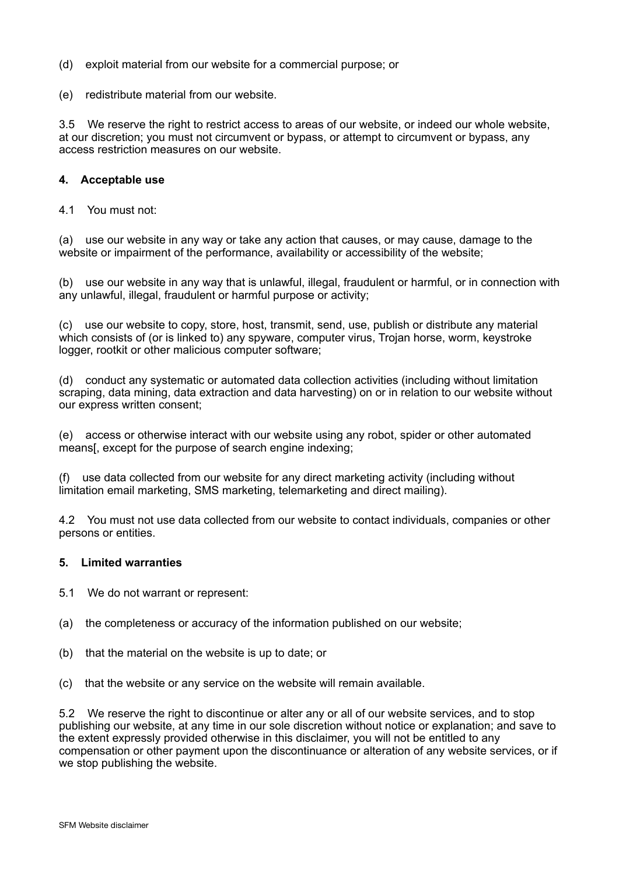- (d) exploit material from our website for a commercial purpose; or
- (e) redistribute material from our website.

3.5 We reserve the right to restrict access to areas of our website, or indeed our whole website, at our discretion; you must not circumvent or bypass, or attempt to circumvent or bypass, any access restriction measures on our website.

### **4. Acceptable use**

4.1 You must not:

(a) use our website in any way or take any action that causes, or may cause, damage to the website or impairment of the performance, availability or accessibility of the website;

(b) use our website in any way that is unlawful, illegal, fraudulent or harmful, or in connection with any unlawful, illegal, fraudulent or harmful purpose or activity;

(c) use our website to copy, store, host, transmit, send, use, publish or distribute any material which consists of (or is linked to) any spyware, computer virus, Trojan horse, worm, keystroke logger, rootkit or other malicious computer software;

(d) conduct any systematic or automated data collection activities (including without limitation scraping, data mining, data extraction and data harvesting) on or in relation to our website without our express written consent;

(e) access or otherwise interact with our website using any robot, spider or other automated means[, except for the purpose of search engine indexing;

(f) use data collected from our website for any direct marketing activity (including without limitation email marketing, SMS marketing, telemarketing and direct mailing).

4.2 You must not use data collected from our website to contact individuals, companies or other persons or entities.

#### **5. Limited warranties**

- 5.1 We do not warrant or represent:
- (a) the completeness or accuracy of the information published on our website;
- (b) that the material on the website is up to date; or
- (c) that the website or any service on the website will remain available.

5.2 We reserve the right to discontinue or alter any or all of our website services, and to stop publishing our website, at any time in our sole discretion without notice or explanation; and save to the extent expressly provided otherwise in this disclaimer, you will not be entitled to any compensation or other payment upon the discontinuance or alteration of any website services, or if we stop publishing the website.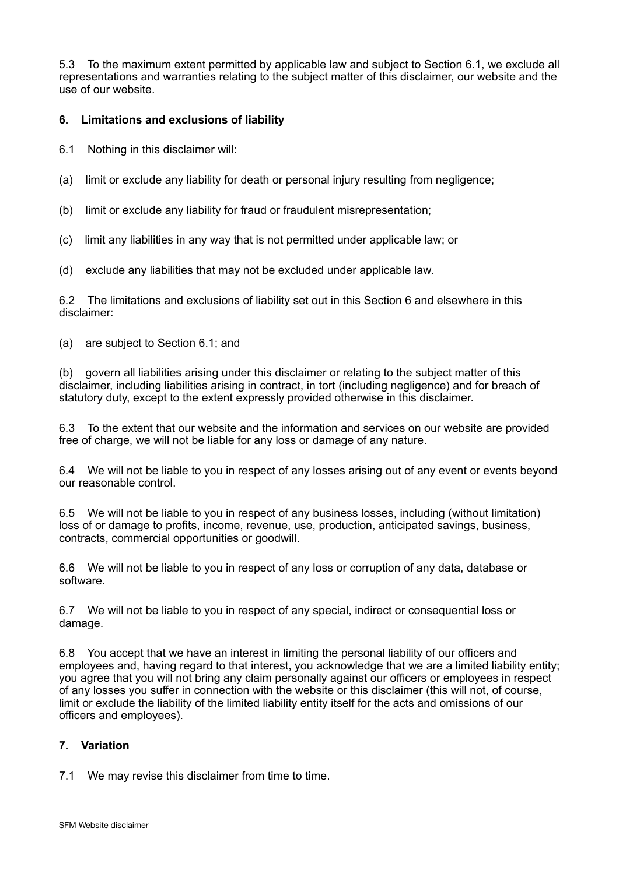5.3 To the maximum extent permitted by applicable law and subject to Section 6.1, we exclude all representations and warranties relating to the subject matter of this disclaimer, our website and the use of our website.

# **6. Limitations and exclusions of liability**

- 6.1 Nothing in this disclaimer will:
- (a) limit or exclude any liability for death or personal injury resulting from negligence;
- (b) limit or exclude any liability for fraud or fraudulent misrepresentation;
- (c) limit any liabilities in any way that is not permitted under applicable law; or
- (d) exclude any liabilities that may not be excluded under applicable law.

6.2 The limitations and exclusions of liability set out in this Section 6 and elsewhere in this disclaimer:

(a) are subject to Section 6.1; and

(b) govern all liabilities arising under this disclaimer or relating to the subject matter of this disclaimer, including liabilities arising in contract, in tort (including negligence) and for breach of statutory duty, except to the extent expressly provided otherwise in this disclaimer.

6.3 To the extent that our website and the information and services on our website are provided free of charge, we will not be liable for any loss or damage of any nature.

6.4 We will not be liable to you in respect of any losses arising out of any event or events beyond our reasonable control.

6.5 We will not be liable to you in respect of any business losses, including (without limitation) loss of or damage to profits, income, revenue, use, production, anticipated savings, business, contracts, commercial opportunities or goodwill.

6.6 We will not be liable to you in respect of any loss or corruption of any data, database or software.

6.7 We will not be liable to you in respect of any special, indirect or consequential loss or damage.

6.8 You accept that we have an interest in limiting the personal liability of our officers and employees and, having regard to that interest, you acknowledge that we are a limited liability entity; you agree that you will not bring any claim personally against our officers or employees in respect of any losses you suffer in connection with the website or this disclaimer (this will not, of course, limit or exclude the liability of the limited liability entity itself for the acts and omissions of our officers and employees).

## **7. Variation**

7.1 We may revise this disclaimer from time to time.